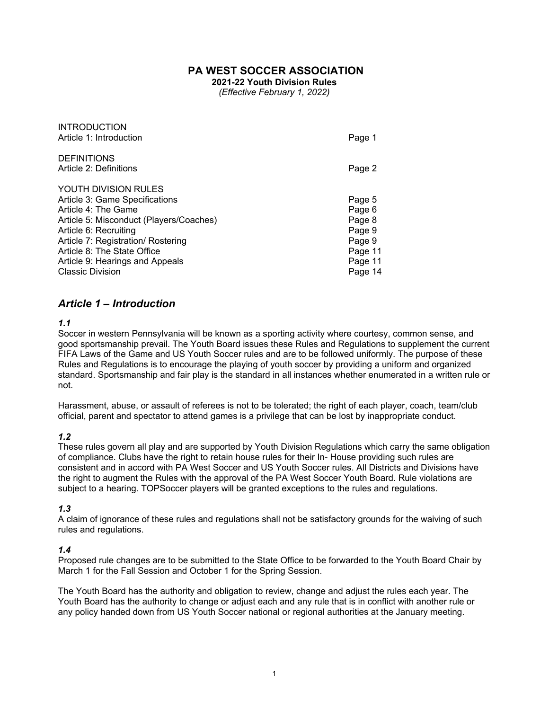## **PA WEST SOCCER ASSOCIATION**

**2021-22 Youth Division Rules** 

*(Effective February 1, 2022)* 

| <b>INTRODUCTION</b><br>Article 1: Introduction         | Page 1  |
|--------------------------------------------------------|---------|
| <b>DEFINITIONS</b><br>Article 2: Definitions           | Page 2  |
| YOUTH DIVISION RULES<br>Article 3: Game Specifications | Page 5  |
| Article 4: The Game                                    | Page 6  |
| Article 5: Misconduct (Players/Coaches)                | Page 8  |
| Article 6: Recruiting                                  | Page 9  |
| Article 7: Registration/ Rostering                     | Page 9  |
| Article 8: The State Office                            | Page 11 |
| Article 9: Hearings and Appeals                        | Page 11 |
| <b>Classic Division</b>                                | Page 14 |

## *Article 1 – Introduction*

#### *1.1*

Soccer in western Pennsylvania will be known as a sporting activity where courtesy, common sense, and good sportsmanship prevail. The Youth Board issues these Rules and Regulations to supplement the current FIFA Laws of the Game and US Youth Soccer rules and are to be followed uniformly. The purpose of these Rules and Regulations is to encourage the playing of youth soccer by providing a uniform and organized standard. Sportsmanship and fair play is the standard in all instances whether enumerated in a written rule or not.

Harassment, abuse, or assault of referees is not to be tolerated; the right of each player, coach, team/club official, parent and spectator to attend games is a privilege that can be lost by inappropriate conduct.

#### *1.2*

These rules govern all play and are supported by Youth Division Regulations which carry the same obligation of compliance. Clubs have the right to retain house rules for their In- House providing such rules are consistent and in accord with PA West Soccer and US Youth Soccer rules. All Districts and Divisions have the right to augment the Rules with the approval of the PA West Soccer Youth Board. Rule violations are subject to a hearing. TOPSoccer players will be granted exceptions to the rules and regulations.

#### *1.3*

A claim of ignorance of these rules and regulations shall not be satisfactory grounds for the waiving of such rules and regulations.

#### *1.4*

Proposed rule changes are to be submitted to the State Office to be forwarded to the Youth Board Chair by March 1 for the Fall Session and October 1 for the Spring Session.

The Youth Board has the authority and obligation to review, change and adjust the rules each year. The Youth Board has the authority to change or adjust each and any rule that is in conflict with another rule or any policy handed down from US Youth Soccer national or regional authorities at the January meeting.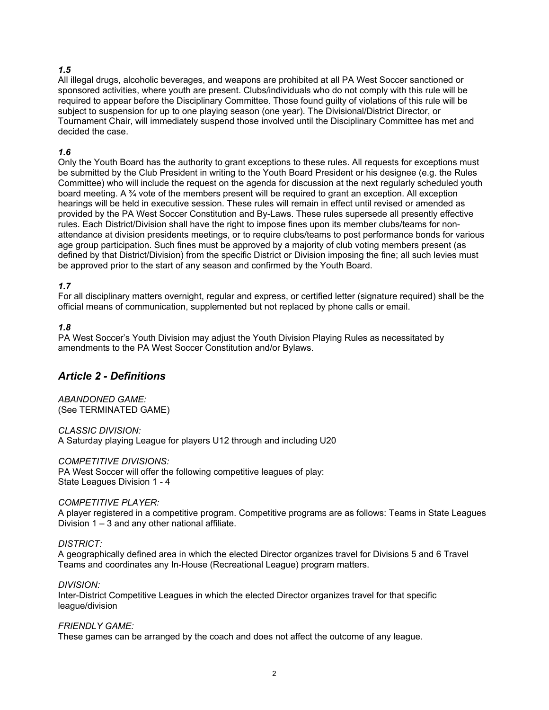## *1.5*

All illegal drugs, alcoholic beverages, and weapons are prohibited at all PA West Soccer sanctioned or sponsored activities, where youth are present. Clubs/individuals who do not comply with this rule will be required to appear before the Disciplinary Committee. Those found guilty of violations of this rule will be subject to suspension for up to one playing season (one year). The Divisional/District Director, or Tournament Chair, will immediately suspend those involved until the Disciplinary Committee has met and decided the case.

## *1.6*

Only the Youth Board has the authority to grant exceptions to these rules. All requests for exceptions must be submitted by the Club President in writing to the Youth Board President or his designee (e.g. the Rules Committee) who will include the request on the agenda for discussion at the next regularly scheduled youth board meeting. A  $\frac{3}{4}$  vote of the members present will be required to grant an exception. All exception hearings will be held in executive session. These rules will remain in effect until revised or amended as provided by the PA West Soccer Constitution and By-Laws. These rules supersede all presently effective rules. Each District/Division shall have the right to impose fines upon its member clubs/teams for nonattendance at division presidents meetings, or to require clubs/teams to post performance bonds for various age group participation. Such fines must be approved by a majority of club voting members present (as defined by that District/Division) from the specific District or Division imposing the fine; all such levies must be approved prior to the start of any season and confirmed by the Youth Board.

## *1.7*

For all disciplinary matters overnight, regular and express, or certified letter (signature required) shall be the official means of communication, supplemented but not replaced by phone calls or email.

## *1.8*

PA West Soccer's Youth Division may adjust the Youth Division Playing Rules as necessitated by amendments to the PA West Soccer Constitution and/or Bylaws.

# *Article 2 - Definitions*

*ABANDONED GAME:*  (See TERMINATED GAME)

*CLASSIC DIVISION:*  A Saturday playing League for players U12 through and including U20

*COMPETITIVE DIVISIONS:*  PA West Soccer will offer the following competitive leagues of play: State Leagues Division 1 - 4

#### *COMPETITIVE PLAYER:*

A player registered in a competitive program. Competitive programs are as follows: Teams in State Leagues Division 1 – 3 and any other national affiliate.

*DISTRICT:* 

A geographically defined area in which the elected Director organizes travel for Divisions 5 and 6 Travel Teams and coordinates any In-House (Recreational League) program matters.

*DIVISION:* 

Inter-District Competitive Leagues in which the elected Director organizes travel for that specific league/division

*FRIENDLY GAME:* 

These games can be arranged by the coach and does not affect the outcome of any league.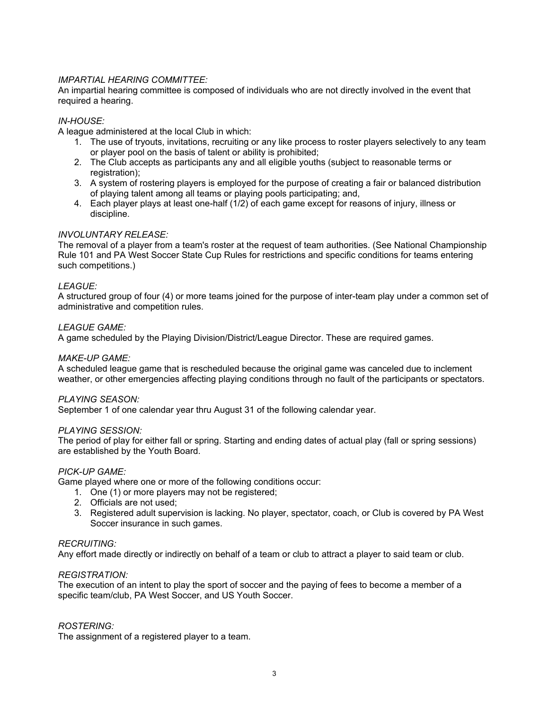## *IMPARTIAL HEARING COMMITTEE:*

An impartial hearing committee is composed of individuals who are not directly involved in the event that required a hearing.

## *IN-HOUSE:*

A league administered at the local Club in which:

- 1. The use of tryouts, invitations, recruiting or any like process to roster players selectively to any team or player pool on the basis of talent or ability is prohibited;
- 2. The Club accepts as participants any and all eligible youths (subject to reasonable terms or registration);
- 3. A system of rostering players is employed for the purpose of creating a fair or balanced distribution of playing talent among all teams or playing pools participating; and,
- 4. Each player plays at least one-half (1/2) of each game except for reasons of injury, illness or discipline.

## *INVOLUNTARY RELEASE:*

The removal of a player from a team's roster at the request of team authorities. (See National Championship Rule 101 and PA West Soccer State Cup Rules for restrictions and specific conditions for teams entering such competitions.)

## *LEAGUE:*

A structured group of four (4) or more teams joined for the purpose of inter-team play under a common set of administrative and competition rules.

## *LEAGUE GAME:*

A game scheduled by the Playing Division/District/League Director. These are required games.

#### *MAKE-UP GAME:*

A scheduled league game that is rescheduled because the original game was canceled due to inclement weather, or other emergencies affecting playing conditions through no fault of the participants or spectators.

#### *PLAYING SEASON:*

September 1 of one calendar year thru August 31 of the following calendar year.

#### *PLAYING SESSION:*

The period of play for either fall or spring. Starting and ending dates of actual play (fall or spring sessions) are established by the Youth Board.

#### *PICK-UP GAME:*

Game played where one or more of the following conditions occur:

- 1. One (1) or more players may not be registered;
- 2. Officials are not used;
- 3. Registered adult supervision is lacking. No player, spectator, coach, or Club is covered by PA West Soccer insurance in such games.

#### *RECRUITING:*

Any effort made directly or indirectly on behalf of a team or club to attract a player to said team or club.

#### *REGISTRATION:*

The execution of an intent to play the sport of soccer and the paying of fees to become a member of a specific team/club, PA West Soccer, and US Youth Soccer.

## *ROSTERING:*

The assignment of a registered player to a team.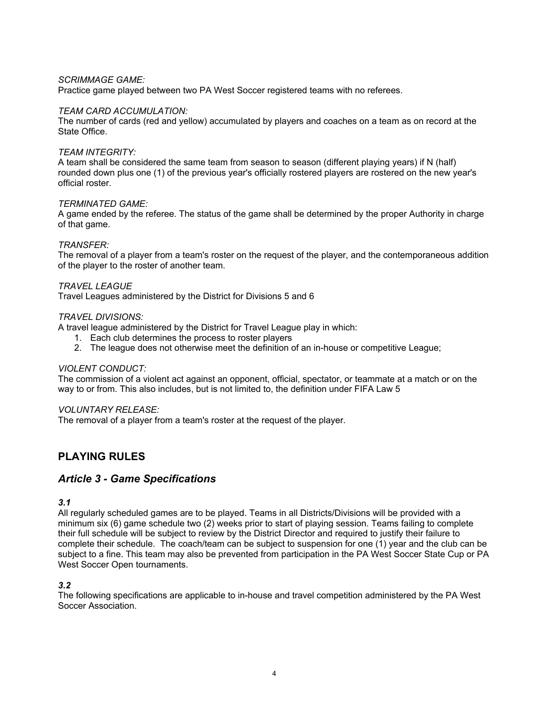## *SCRIMMAGE GAME:*

Practice game played between two PA West Soccer registered teams with no referees.

## *TEAM CARD ACCUMULATION:*

The number of cards (red and yellow) accumulated by players and coaches on a team as on record at the State Office.

#### *TEAM INTEGRITY:*

A team shall be considered the same team from season to season (different playing years) if N (half) rounded down plus one (1) of the previous year's officially rostered players are rostered on the new year's official roster.

#### *TERMINATED GAME:*

A game ended by the referee. The status of the game shall be determined by the proper Authority in charge of that game.

## *TRANSFER:*

The removal of a player from a team's roster on the request of the player, and the contemporaneous addition of the player to the roster of another team.

## *TRAVEL LEAGUE*

Travel Leagues administered by the District for Divisions 5 and 6

## *TRAVEL DIVISIONS:*

A travel league administered by the District for Travel League play in which:

- 1. Each club determines the process to roster players
- 2. The league does not otherwise meet the definition of an in-house or competitive League;

#### *VIOLENT CONDUCT:*

The commission of a violent act against an opponent, official, spectator, or teammate at a match or on the way to or from. This also includes, but is not limited to, the definition under FIFA Law 5

#### *VOLUNTARY RELEASE:*

The removal of a player from a team's roster at the request of the player.

# **PLAYING RULES**

## *Article 3 - Game Specifications*

*3.1* 

All regularly scheduled games are to be played. Teams in all Districts/Divisions will be provided with a minimum six (6) game schedule two (2) weeks prior to start of playing session. Teams failing to complete their full schedule will be subject to review by the District Director and required to justify their failure to complete their schedule. The coach/team can be subject to suspension for one (1) year and the club can be subject to a fine. This team may also be prevented from participation in the PA West Soccer State Cup or PA West Soccer Open tournaments.

## *3.2*

The following specifications are applicable to in-house and travel competition administered by the PA West Soccer Association.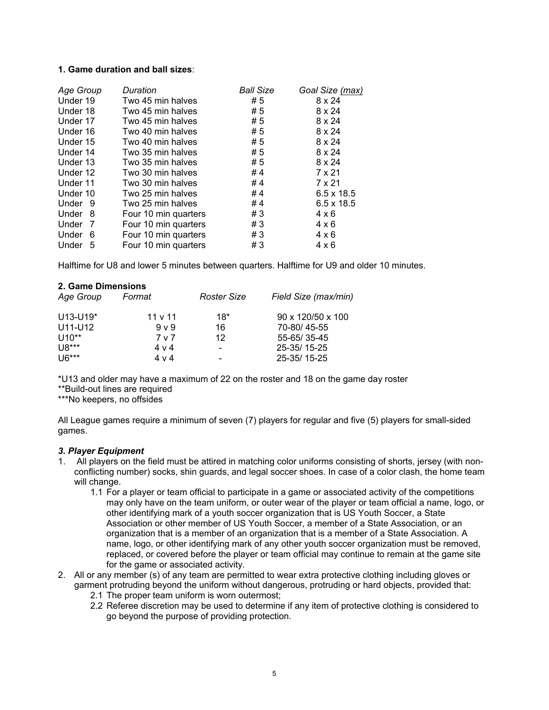## **1. Game duration and ball sizes**:

| Age Group    | Duration             | <b>Ball Size</b> | Goal Size (max)   |
|--------------|----------------------|------------------|-------------------|
| Under 19     | Two 45 min halves    | # 5              | 8 x 24            |
| Under 18     | Two 45 min halves    | # 5              | 8 x 24            |
| Under 17     | Two 45 min halves    | #5               | 8 x 24            |
| Under 16     | Two 40 min halves    | # 5              | 8 x 24            |
| Under 15     | Two 40 min halves    | # 5              | 8 x 24            |
| Under 14     | Two 35 min halves    | #5               | 8 x 24            |
| Under 13     | Two 35 min halves    | #5               | 8 x 24            |
| Under 12     | Two 30 min halves    | #4               | 7 x 21            |
| Under 11     | Two 30 min halves    | #4               | 7 x 21            |
| Under 10     | Two 25 min halves    | #4               | $6.5 \times 18.5$ |
| Under 9      | Two 25 min halves    | #4               | $6.5 \times 18.5$ |
| Under 8      | Four 10 min quarters | #3               | $4 \times 6$      |
| Under<br>-7  | Four 10 min quarters | #3               | $4 \times 6$      |
| Under<br>- 6 | Four 10 min quarters | #3               | $4 \times 6$      |
| Under<br>-5  | Four 10 min quarters | #3               | $4 \times 6$      |

Halftime for U8 and lower 5 minutes between quarters. Halftime for U9 and older 10 minutes.

#### **2. Game Dimensions**

| Age Group  | Format         | <b>Roster Size</b>       | Field Size (max/min) |
|------------|----------------|--------------------------|----------------------|
| $U13-U19*$ | 11 v 11        | $18*$                    | 90 x 120/50 x 100    |
| U11-U12    | 9 <sub>V</sub> | 16                       | 70-80/45-55          |
| $U10**$    | 7 v 7          | 12                       | 55-65/35-45          |
| $U8***$    | $4 \vee 4$     | $\blacksquare$           | 25-35/15-25          |
| $U6***$    | 4 v 4          | $\overline{\phantom{0}}$ | 25-35/15-25          |

\*U13 and older may have a maximum of 22 on the roster and 18 on the game day roster

\*\*Build-out lines are required

\*\*\*No keepers, no offsides

All League games require a minimum of seven (7) players for regular and five (5) players for small-sided games.

#### *3. Player Equipment*

- 1. All players on the field must be attired in matching color uniforms consisting of shorts, jersey (with nonconflicting number) socks, shin guards, and legal soccer shoes. In case of a color clash, the home team will change.
	- 1.1 For a player or team official to participate in a game or associated activity of the competitions may only have on the team uniform, or outer wear of the player or team official a name, logo, or other identifying mark of a youth soccer organization that is US Youth Soccer, a State Association or other member of US Youth Soccer, a member of a State Association, or an organization that is a member of an organization that is a member of a State Association. A name, logo, or other identifying mark of any other youth soccer organization must be removed, replaced, or covered before the player or team official may continue to remain at the game site for the game or associated activity.
- 2. All or any member (s) of any team are permitted to wear extra protective clothing including gloves or garment protruding beyond the uniform without dangerous, protruding or hard objects, provided that:
	- 2.1 The proper team uniform is worn outermost;
	- 2.2 Referee discretion may be used to determine if any item of protective clothing is considered to go beyond the purpose of providing protection.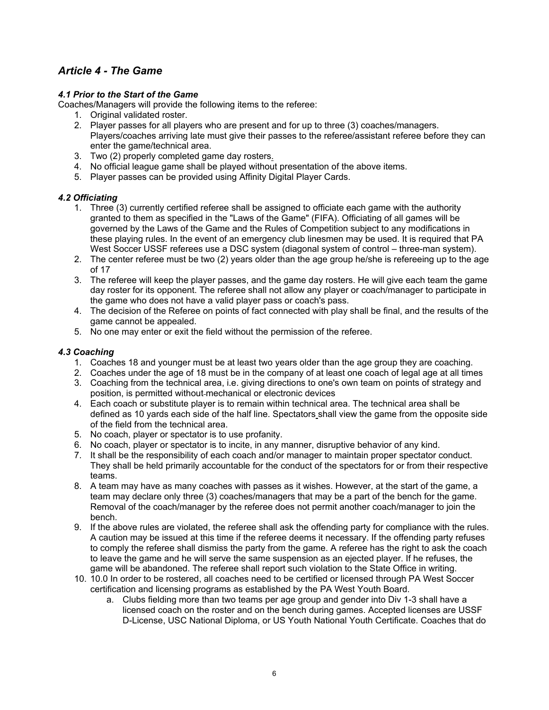# *Article 4 - The Game*

## *4.1 Prior to the Start of the Game*

Coaches/Managers will provide the following items to the referee:

- 1. Original validated roster.
- 2. Player passes for all players who are present and for up to three (3) coaches/managers. Players/coaches arriving late must give their passes to the referee/assistant referee before they can enter the game/technical area.
- 3. Two (2) properly completed game day rosters.
- 4. No official league game shall be played without presentation of the above items.
- 5. Player passes can be provided using Affinity Digital Player Cards.

## *4.2 Officiating*

- 1. Three (3) currently certified referee shall be assigned to officiate each game with the authority granted to them as specified in the "Laws of the Game" (FIFA). Officiating of all games will be governed by the Laws of the Game and the Rules of Competition subject to any modifications in these playing rules. In the event of an emergency club linesmen may be used. It is required that PA West Soccer USSF referees use a DSC system (diagonal system of control – three-man system).
- 2. The center referee must be two (2) years older than the age group he/she is refereeing up to the age of 17
- 3. The referee will keep the player passes, and the game day rosters. He will give each team the game day roster for its opponent. The referee shall not allow any player or coach/manager to participate in the game who does not have a valid player pass or coach's pass.
- 4. The decision of the Referee on points of fact connected with play shall be final, and the results of the game cannot be appealed.
- 5. No one may enter or exit the field without the permission of the referee.

## *4.3 Coaching*

- 1. Coaches 18 and younger must be at least two years older than the age group they are coaching.
- 2. Coaches under the age of 18 must be in the company of at least one coach of legal age at all times
- 3. Coaching from the technical area, i.e. giving directions to one's own team on points of strategy and position, is permitted without mechanical or electronic devices
- 4. Each coach or substitute player is to remain within technical area. The technical area shall be defined as 10 yards each side of the half line. Spectators shall view the game from the opposite side of the field from the technical area.
- 5. No coach, player or spectator is to use profanity.
- 6. No coach, player or spectator is to incite, in any manner, disruptive behavior of any kind.
- 7. It shall be the responsibility of each coach and/or manager to maintain proper spectator conduct. They shall be held primarily accountable for the conduct of the spectators for or from their respective teams.
- 8. A team may have as many coaches with passes as it wishes. However, at the start of the game, a team may declare only three (3) coaches/managers that may be a part of the bench for the game. Removal of the coach/manager by the referee does not permit another coach/manager to join the bench.
- 9. If the above rules are violated, the referee shall ask the offending party for compliance with the rules. A caution may be issued at this time if the referee deems it necessary. If the offending party refuses to comply the referee shall dismiss the party from the game. A referee has the right to ask the coach to leave the game and he will serve the same suspension as an ejected player. If he refuses, the game will be abandoned. The referee shall report such violation to the State Office in writing.
- 10. 10.0 In order to be rostered, all coaches need to be certified or licensed through PA West Soccer certification and licensing programs as established by the PA West Youth Board.
	- a. Clubs fielding more than two teams per age group and gender into Div 1-3 shall have a licensed coach on the roster and on the bench during games. Accepted licenses are USSF D-License, USC National Diploma, or US Youth National Youth Certificate. Coaches that do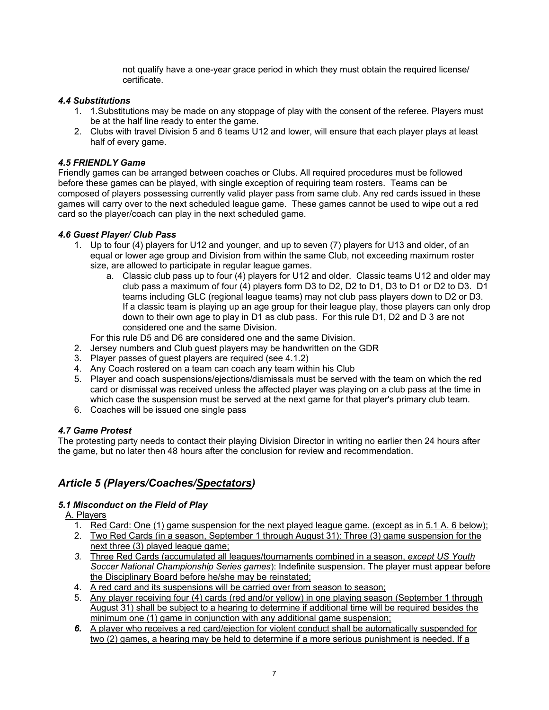not qualify have a one-year grace period in which they must obtain the required license/ certificate.

## *4.4 Substitutions*

- 1. 1.Substitutions may be made on any stoppage of play with the consent of the referee. Players must be at the half line ready to enter the game.
- 2. Clubs with travel Division 5 and 6 teams U12 and lower, will ensure that each player plays at least half of every game.

## *4.5 FRIENDLY Game*

Friendly games can be arranged between coaches or Clubs. All required procedures must be followed before these games can be played, with single exception of requiring team rosters. Teams can be composed of players possessing currently valid player pass from same club. Any red cards issued in these games will carry over to the next scheduled league game. These games cannot be used to wipe out a red card so the player/coach can play in the next scheduled game.

## *4.6 Guest Player/ Club Pass*

- 1. Up to four (4) players for U12 and younger, and up to seven (7) players for U13 and older, of an equal or lower age group and Division from within the same Club, not exceeding maximum roster size, are allowed to participate in regular league games.
	- a. Classic club pass up to four (4) players for U12 and older. Classic teams U12 and older may club pass a maximum of four (4) players form D3 to D2, D2 to D1, D3 to D1 or D2 to D3. D1 teams including GLC (regional league teams) may not club pass players down to D2 or D3. If a classic team is playing up an age group for their league play, those players can only drop down to their own age to play in D1 as club pass. For this rule D1, D2 and D 3 are not considered one and the same Division.

For this rule D5 and D6 are considered one and the same Division.

- 2. Jersey numbers and Club guest players may be handwritten on the GDR
- 3. Player passes of guest players are required (see 4.1.2)
- 4. Any Coach rostered on a team can coach any team within his Club
- 5. Player and coach suspensions/ejections/dismissals must be served with the team on which the red card or dismissal was received unless the affected player was playing on a club pass at the time in which case the suspension must be served at the next game for that player's primary club team.
- 6. Coaches will be issued one single pass

## *4.7 Game Protest*

The protesting party needs to contact their playing Division Director in writing no earlier then 24 hours after the game, but no later then 48 hours after the conclusion for review and recommendation.

# *Article 5 (Players/Coaches/Spectators)*

## *5.1 Misconduct on the Field of Play*

A. Players

- 1. Red Card: One (1) game suspension for the next played league game. (except as in 5.1 A. 6 below); 2. Two Red Cards (in a season, September 1 through August 31): Three (3) game suspension for the
- next three (3) played league game; *3.* Three Red Cards (accumulated all leagues/tournaments combined in a season, *except US Youth Soccer National Championship Series games*): Indefinite suspension. The player must appear before the Disciplinary Board before he/she may be reinstated;
- 4. A red card and its suspensions will be carried over from season to season;
- 5. Any player receiving four (4) cards (red and/or yellow) in one playing season (September 1 through August 31) shall be subject to a hearing to determine if additional time will be required besides the minimum one (1) game in conjunction with any additional game suspension;
- *6.* A player who receives a red card/ejection for violent conduct shall be automatically suspended for two (2) games, a hearing may be held to determine if a more serious punishment is needed. If a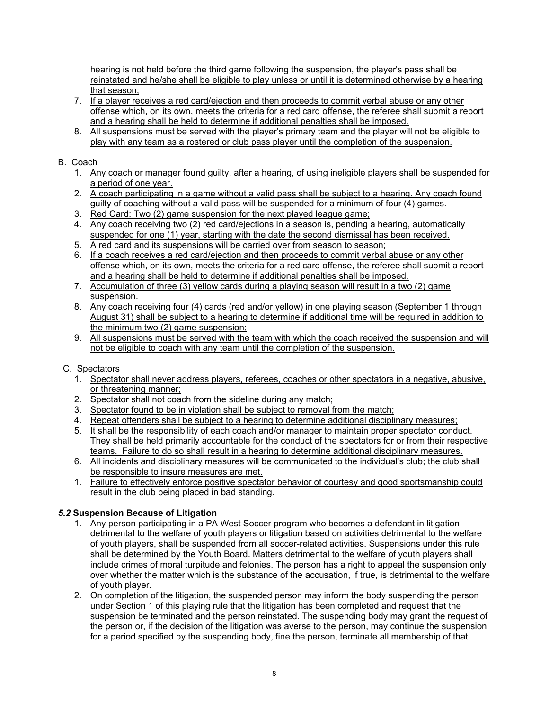hearing is not held before the third game following the suspension, the player's pass shall be reinstated and he/she shall be eligible to play unless or until it is determined otherwise by a hearing that season;

- 7. If a player receives a red card/ejection and then proceeds to commit verbal abuse or any other offense which, on its own, meets the criteria for a red card offense, the referee shall submit a report and a hearing shall be held to determine if additional penalties shall be imposed.
- 8. All suspensions must be served with the player's primary team and the player will not be eligible to play with any team as a rostered or club pass player until the completion of the suspension.

## B. Coach

- 1. Any coach or manager found guilty, after a hearing, of using ineligible players shall be suspended for a period of one year.
- 2. A coach participating in a game without a valid pass shall be subject to a hearing. Any coach found guilty of coaching without a valid pass will be suspended for a minimum of four (4) games.
- 3. Red Card: Two (2) game suspension for the next played league game;
- 4. Any coach receiving two (2) red card/ejections in a season is, pending a hearing, automatically suspended for one (1) year, starting with the date the second dismissal has been received.
- 5. A red card and its suspensions will be carried over from season to season;
- 6. If a coach receives a red card/ejection and then proceeds to commit verbal abuse or any other offense which, on its own, meets the criteria for a red card offense, the referee shall submit a report and a hearing shall be held to determine if additional penalties shall be imposed.
- 7. Accumulation of three (3) yellow cards during a playing season will result in a two (2) game suspension.
- 8. Any coach receiving four (4) cards (red and/or yellow) in one playing season (September 1 through August 31) shall be subject to a hearing to determine if additional time will be required in addition to the minimum two (2) game suspension;
- 9. All suspensions must be served with the team with which the coach received the suspension and will not be eligible to coach with any team until the completion of the suspension.

# C. Spectators

- 1. Spectator shall never address players, referees, coaches or other spectators in a negative, abusive, or threatening manner;
- 2. Spectator shall not coach from the sideline during any match;
- 3. Spectator found to be in violation shall be subject to removal from the match;
- 4. Repeat offenders shall be subject to a hearing to determine additional disciplinary measures;
- 5. It shall be the responsibility of each coach and/or manager to maintain proper spectator conduct. They shall be held primarily accountable for the conduct of the spectators for or from their respective teams. Failure to do so shall result in a hearing to determine additional disciplinary measures.
- 6. All incidents and disciplinary measures will be communicated to the individual's club; the club shall be responsible to insure measures are met.
- 1. Failure to effectively enforce positive spectator behavior of courtesy and good sportsmanship could result in the club being placed in bad standing.

# *5.2* **Suspension Because of Litigation**

- 1. Any person participating in a PA West Soccer program who becomes a defendant in litigation detrimental to the welfare of youth players or litigation based on activities detrimental to the welfare of youth players, shall be suspended from all soccer-related activities. Suspensions under this rule shall be determined by the Youth Board. Matters detrimental to the welfare of youth players shall include crimes of moral turpitude and felonies. The person has a right to appeal the suspension only over whether the matter which is the substance of the accusation, if true, is detrimental to the welfare of youth player.
- 2. On completion of the litigation, the suspended person may inform the body suspending the person under Section 1 of this playing rule that the litigation has been completed and request that the suspension be terminated and the person reinstated. The suspending body may grant the request of the person or, if the decision of the litigation was averse to the person, may continue the suspension for a period specified by the suspending body, fine the person, terminate all membership of that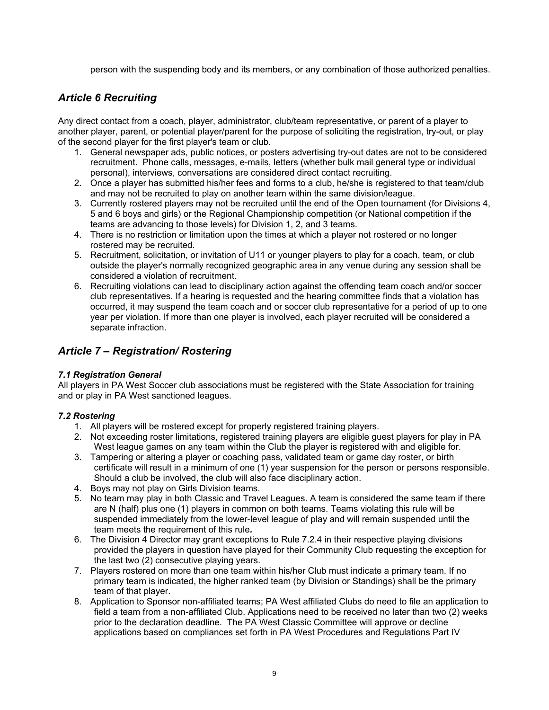person with the suspending body and its members, or any combination of those authorized penalties.

# *Article 6 Recruiting*

Any direct contact from a coach, player, administrator, club/team representative, or parent of a player to another player, parent, or potential player/parent for the purpose of soliciting the registration, try-out, or play of the second player for the first player's team or club.

- 1. General newspaper ads, public notices, or posters advertising try-out dates are not to be considered recruitment. Phone calls, messages, e-mails, letters (whether bulk mail general type or individual personal), interviews, conversations are considered direct contact recruiting.
- 2. Once a player has submitted his/her fees and forms to a club, he/she is registered to that team/club and may not be recruited to play on another team within the same division/league.
- 3. Currently rostered players may not be recruited until the end of the Open tournament (for Divisions 4, 5 and 6 boys and girls) or the Regional Championship competition (or National competition if the teams are advancing to those levels) for Division 1, 2, and 3 teams.
- 4. There is no restriction or limitation upon the times at which a player not rostered or no longer rostered may be recruited.
- 5. Recruitment, solicitation, or invitation of U11 or younger players to play for a coach, team, or club outside the player's normally recognized geographic area in any venue during any session shall be considered a violation of recruitment.
- 6. Recruiting violations can lead to disciplinary action against the offending team coach and/or soccer club representatives. If a hearing is requested and the hearing committee finds that a violation has occurred, it may suspend the team coach and or soccer club representative for a period of up to one year per violation. If more than one player is involved, each player recruited will be considered a separate infraction.

# *Article 7 – Registration/ Rostering*

## *7.1 Registration General*

All players in PA West Soccer club associations must be registered with the State Association for training and or play in PA West sanctioned leagues.

## *7.2 Rostering*

- 1. All players will be rostered except for properly registered training players.
- 2. Not exceeding roster limitations, registered training players are eligible guest players for play in PA West league games on any team within the Club the player is registered with and eligible for.
- 3. Tampering or altering a player or coaching pass, validated team or game day roster, or birth certificate will result in a minimum of one (1) year suspension for the person or persons responsible. Should a club be involved, the club will also face disciplinary action.
- 4. Boys may not play on Girls Division teams.
- 5. No team may play in both Classic and Travel Leagues. A team is considered the same team if there are N (half) plus one (1) players in common on both teams. Teams violating this rule will be suspended immediately from the lower-level league of play and will remain suspended until the team meets the requirement of this rule*.*
- 6. The Division 4 Director may grant exceptions to Rule 7.2.4 in their respective playing divisions provided the players in question have played for their Community Club requesting the exception for the last two (2) consecutive playing years.
- 7. Players rostered on more than one team within his/her Club must indicate a primary team. If no primary team is indicated, the higher ranked team (by Division or Standings) shall be the primary team of that player.
- 8. Application to Sponsor non-affiliated teams; PA West affiliated Clubs do need to file an application to field a team from a non-affiliated Club. Applications need to be received no later than two (2) weeks prior to the declaration deadline. The PA West Classic Committee will approve or decline applications based on compliances set forth in PA West Procedures and Regulations Part IV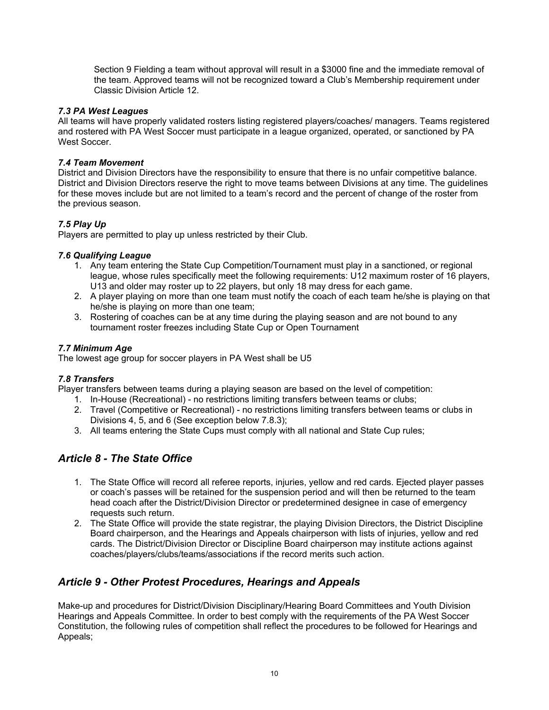Section 9 Fielding a team without approval will result in a \$3000 fine and the immediate removal of the team. Approved teams will not be recognized toward a Club's Membership requirement under Classic Division Article 12.

## *7.3 PA West Leagues*

All teams will have properly validated rosters listing registered players/coaches/ managers. Teams registered and rostered with PA West Soccer must participate in a league organized, operated, or sanctioned by PA West Soccer.

## *7.4 Team Movement*

District and Division Directors have the responsibility to ensure that there is no unfair competitive balance. District and Division Directors reserve the right to move teams between Divisions at any time. The guidelines for these moves include but are not limited to a team's record and the percent of change of the roster from the previous season.

## *7.5 Play Up*

Players are permitted to play up unless restricted by their Club.

## *7.6 Qualifying League*

- 1. Any team entering the State Cup Competition/Tournament must play in a sanctioned, or regional league, whose rules specifically meet the following requirements: U12 maximum roster of 16 players, U13 and older may roster up to 22 players, but only 18 may dress for each game.
- 2. A player playing on more than one team must notify the coach of each team he/she is playing on that he/she is playing on more than one team;
- 3. Rostering of coaches can be at any time during the playing season and are not bound to any tournament roster freezes including State Cup or Open Tournament

## *7.7 Minimum Age*

The lowest age group for soccer players in PA West shall be U5

## *7.8 Transfers*

Player transfers between teams during a playing season are based on the level of competition:

- 1. In-House (Recreational) no restrictions limiting transfers between teams or clubs;
- 2. Travel (Competitive or Recreational) no restrictions limiting transfers between teams or clubs in Divisions 4, 5, and 6 (See exception below 7.8.3);
- 3. All teams entering the State Cups must comply with all national and State Cup rules;

# *Article 8 - The State Office*

- 1. The State Office will record all referee reports, injuries, yellow and red cards. Ejected player passes or coach's passes will be retained for the suspension period and will then be returned to the team head coach after the District/Division Director or predetermined designee in case of emergency requests such return.
- 2. The State Office will provide the state registrar, the playing Division Directors, the District Discipline Board chairperson, and the Hearings and Appeals chairperson with lists of injuries, yellow and red cards. The District/Division Director or Discipline Board chairperson may institute actions against coaches/players/clubs/teams/associations if the record merits such action.

# *Article 9 - Other Protest Procedures, Hearings and Appeals*

Make-up and procedures for District/Division Disciplinary/Hearing Board Committees and Youth Division Hearings and Appeals Committee. In order to best comply with the requirements of the PA West Soccer Constitution, the following rules of competition shall reflect the procedures to be followed for Hearings and Appeals;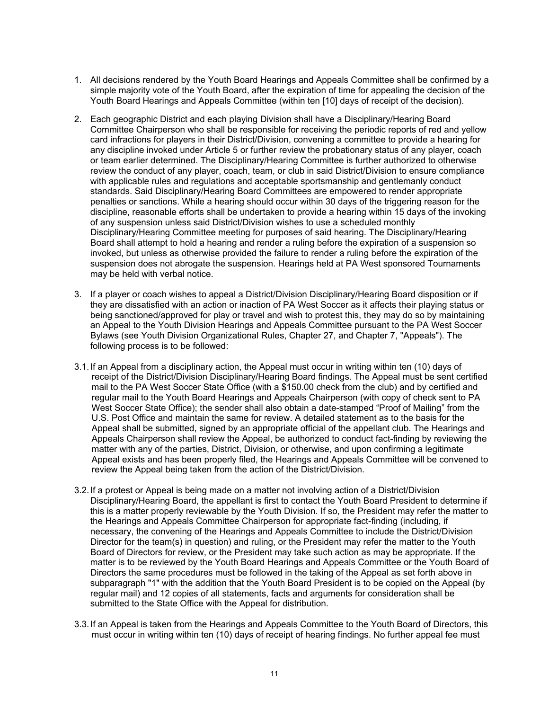- 1. All decisions rendered by the Youth Board Hearings and Appeals Committee shall be confirmed by a simple majority vote of the Youth Board, after the expiration of time for appealing the decision of the Youth Board Hearings and Appeals Committee (within ten [10] days of receipt of the decision).
- 2. Each geographic District and each playing Division shall have a Disciplinary/Hearing Board Committee Chairperson who shall be responsible for receiving the periodic reports of red and yellow card infractions for players in their District/Division, convening a committee to provide a hearing for any discipline invoked under Article 5 or further review the probationary status of any player, coach or team earlier determined. The Disciplinary/Hearing Committee is further authorized to otherwise review the conduct of any player, coach, team, or club in said District/Division to ensure compliance with applicable rules and regulations and acceptable sportsmanship and gentlemanly conduct standards. Said Disciplinary/Hearing Board Committees are empowered to render appropriate penalties or sanctions. While a hearing should occur within 30 days of the triggering reason for the discipline, reasonable efforts shall be undertaken to provide a hearing within 15 days of the invoking of any suspension unless said District/Division wishes to use a scheduled monthly Disciplinary/Hearing Committee meeting for purposes of said hearing. The Disciplinary/Hearing Board shall attempt to hold a hearing and render a ruling before the expiration of a suspension so invoked, but unless as otherwise provided the failure to render a ruling before the expiration of the suspension does not abrogate the suspension. Hearings held at PA West sponsored Tournaments may be held with verbal notice.
- 3. If a player or coach wishes to appeal a District/Division Disciplinary/Hearing Board disposition or if they are dissatisfied with an action or inaction of PA West Soccer as it affects their playing status or being sanctioned/approved for play or travel and wish to protest this, they may do so by maintaining an Appeal to the Youth Division Hearings and Appeals Committee pursuant to the PA West Soccer Bylaws (see Youth Division Organizational Rules, Chapter 27, and Chapter 7, "Appeals"). The following process is to be followed:
- 3.1. If an Appeal from a disciplinary action, the Appeal must occur in writing within ten (10) days of receipt of the District/Division Disciplinary/Hearing Board findings. The Appeal must be sent certified mail to the PA West Soccer State Office (with a \$150.00 check from the club) and by certified and regular mail to the Youth Board Hearings and Appeals Chairperson (with copy of check sent to PA West Soccer State Office); the sender shall also obtain a date-stamped "Proof of Mailing" from the U.S. Post Office and maintain the same for review. A detailed statement as to the basis for the Appeal shall be submitted, signed by an appropriate official of the appellant club. The Hearings and Appeals Chairperson shall review the Appeal, be authorized to conduct fact-finding by reviewing the matter with any of the parties, District, Division, or otherwise, and upon confirming a legitimate Appeal exists and has been properly filed, the Hearings and Appeals Committee will be convened to review the Appeal being taken from the action of the District/Division.
- 3.2. If a protest or Appeal is being made on a matter not involving action of a District/Division Disciplinary/Hearing Board, the appellant is first to contact the Youth Board President to determine if this is a matter properly reviewable by the Youth Division. If so, the President may refer the matter to the Hearings and Appeals Committee Chairperson for appropriate fact-finding (including, if necessary, the convening of the Hearings and Appeals Committee to include the District/Division Director for the team(s) in question) and ruling, or the President may refer the matter to the Youth Board of Directors for review, or the President may take such action as may be appropriate. If the matter is to be reviewed by the Youth Board Hearings and Appeals Committee or the Youth Board of Directors the same procedures must be followed in the taking of the Appeal as set forth above in subparagraph "1" with the addition that the Youth Board President is to be copied on the Appeal (by regular mail) and 12 copies of all statements, facts and arguments for consideration shall be submitted to the State Office with the Appeal for distribution.
- 3.3. If an Appeal is taken from the Hearings and Appeals Committee to the Youth Board of Directors, this must occur in writing within ten (10) days of receipt of hearing findings. No further appeal fee must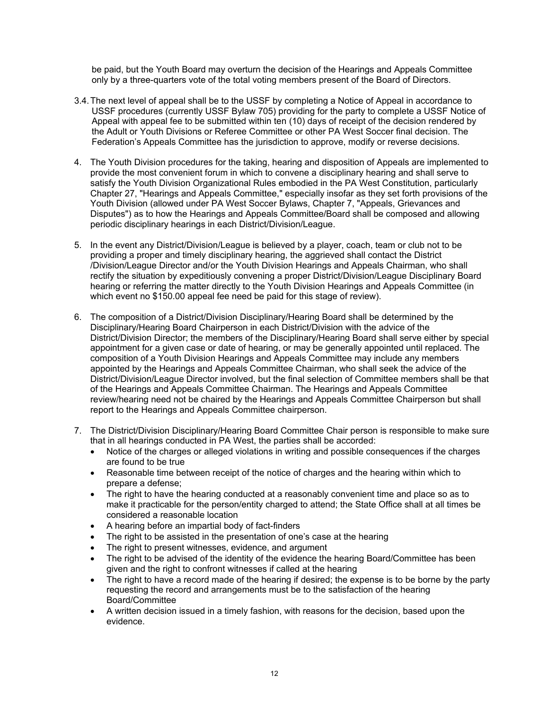be paid, but the Youth Board may overturn the decision of the Hearings and Appeals Committee only by a three-quarters vote of the total voting members present of the Board of Directors.

- 3.4. The next level of appeal shall be to the USSF by completing a Notice of Appeal in accordance to USSF procedures (currently USSF Bylaw 705) providing for the party to complete a USSF Notice of Appeal with appeal fee to be submitted within ten (10) days of receipt of the decision rendered by the Adult or Youth Divisions or Referee Committee or other PA West Soccer final decision. The Federation's Appeals Committee has the jurisdiction to approve, modify or reverse decisions.
- 4. The Youth Division procedures for the taking, hearing and disposition of Appeals are implemented to provide the most convenient forum in which to convene a disciplinary hearing and shall serve to satisfy the Youth Division Organizational Rules embodied in the PA West Constitution, particularly Chapter 27, "Hearings and Appeals Committee," especially insofar as they set forth provisions of the Youth Division (allowed under PA West Soccer Bylaws, Chapter 7, "Appeals, Grievances and Disputes") as to how the Hearings and Appeals Committee/Board shall be composed and allowing periodic disciplinary hearings in each District/Division/League.
- 5. In the event any District/Division/League is believed by a player, coach, team or club not to be providing a proper and timely disciplinary hearing, the aggrieved shall contact the District /Division/League Director and/or the Youth Division Hearings and Appeals Chairman, who shall rectify the situation by expeditiously convening a proper District/Division/League Disciplinary Board hearing or referring the matter directly to the Youth Division Hearings and Appeals Committee (in which event no \$150.00 appeal fee need be paid for this stage of review).
- 6. The composition of a District/Division Disciplinary/Hearing Board shall be determined by the Disciplinary/Hearing Board Chairperson in each District/Division with the advice of the District/Division Director; the members of the Disciplinary/Hearing Board shall serve either by special appointment for a given case or date of hearing, or may be generally appointed until replaced. The composition of a Youth Division Hearings and Appeals Committee may include any members appointed by the Hearings and Appeals Committee Chairman, who shall seek the advice of the District/Division/League Director involved, but the final selection of Committee members shall be that of the Hearings and Appeals Committee Chairman. The Hearings and Appeals Committee review/hearing need not be chaired by the Hearings and Appeals Committee Chairperson but shall report to the Hearings and Appeals Committee chairperson.
- 7. The District/Division Disciplinary/Hearing Board Committee Chair person is responsible to make sure that in all hearings conducted in PA West, the parties shall be accorded:
	- Notice of the charges or alleged violations in writing and possible consequences if the charges are found to be true
	- Reasonable time between receipt of the notice of charges and the hearing within which to prepare a defense;
	- The right to have the hearing conducted at a reasonably convenient time and place so as to make it practicable for the person/entity charged to attend; the State Office shall at all times be considered a reasonable location
	- A hearing before an impartial body of fact-finders
	- The right to be assisted in the presentation of one's case at the hearing
	- The right to present witnesses, evidence, and argument
	- The right to be advised of the identity of the evidence the hearing Board/Committee has been given and the right to confront witnesses if called at the hearing
	- The right to have a record made of the hearing if desired; the expense is to be borne by the party requesting the record and arrangements must be to the satisfaction of the hearing Board/Committee
	- A written decision issued in a timely fashion, with reasons for the decision, based upon the evidence.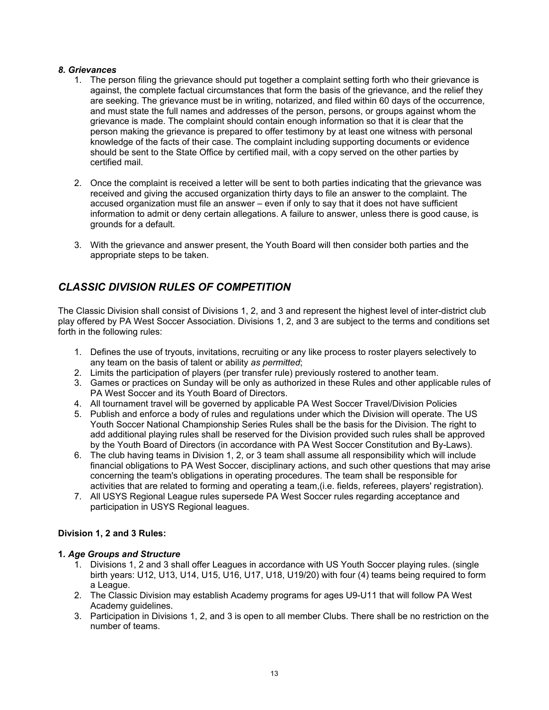## *8. Grievances*

- 1. The person filing the grievance should put together a complaint setting forth who their grievance is against, the complete factual circumstances that form the basis of the grievance, and the relief they are seeking. The grievance must be in writing, notarized, and filed within 60 days of the occurrence, and must state the full names and addresses of the person, persons, or groups against whom the grievance is made. The complaint should contain enough information so that it is clear that the person making the grievance is prepared to offer testimony by at least one witness with personal knowledge of the facts of their case. The complaint including supporting documents or evidence should be sent to the State Office by certified mail, with a copy served on the other parties by certified mail.
- 2. Once the complaint is received a letter will be sent to both parties indicating that the grievance was received and giving the accused organization thirty days to file an answer to the complaint. The accused organization must file an answer – even if only to say that it does not have sufficient information to admit or deny certain allegations. A failure to answer, unless there is good cause, is grounds for a default.
- 3. With the grievance and answer present, the Youth Board will then consider both parties and the appropriate steps to be taken.

# *CLASSIC DIVISION RULES OF COMPETITION*

The Classic Division shall consist of Divisions 1, 2, and 3 and represent the highest level of inter-district club play offered by PA West Soccer Association. Divisions 1, 2, and 3 are subject to the terms and conditions set forth in the following rules:

- 1. Defines the use of tryouts, invitations, recruiting or any like process to roster players selectively to any team on the basis of talent or ability *as permitted*;
- 2. Limits the participation of players (per transfer rule) previously rostered to another team.
- 3. Games or practices on Sunday will be only as authorized in these Rules and other applicable rules of PA West Soccer and its Youth Board of Directors.
- 4. All tournament travel will be governed by applicable PA West Soccer Travel/Division Policies
- 5. Publish and enforce a body of rules and regulations under which the Division will operate. The US Youth Soccer National Championship Series Rules shall be the basis for the Division. The right to add additional playing rules shall be reserved for the Division provided such rules shall be approved by the Youth Board of Directors (in accordance with PA West Soccer Constitution and By-Laws).
- 6. The club having teams in Division 1, 2, or 3 team shall assume all responsibility which will include financial obligations to PA West Soccer, disciplinary actions, and such other questions that may arise concerning the team's obligations in operating procedures. The team shall be responsible for activities that are related to forming and operating a team,(i.e. fields, referees, players' registration).
- 7. All USYS Regional League rules supersede PA West Soccer rules regarding acceptance and participation in USYS Regional leagues.

## **Division 1, 2 and 3 Rules:**

## **1***. Age Groups and Structure*

- 1. Divisions 1, 2 and 3 shall offer Leagues in accordance with US Youth Soccer playing rules. (single birth years: U12, U13, U14, U15, U16, U17, U18, U19/20) with four (4) teams being required to form a League.
- 2. The Classic Division may establish Academy programs for ages U9-U11 that will follow PA West Academy guidelines.
- 3. Participation in Divisions 1, 2, and 3 is open to all member Clubs. There shall be no restriction on the number of teams.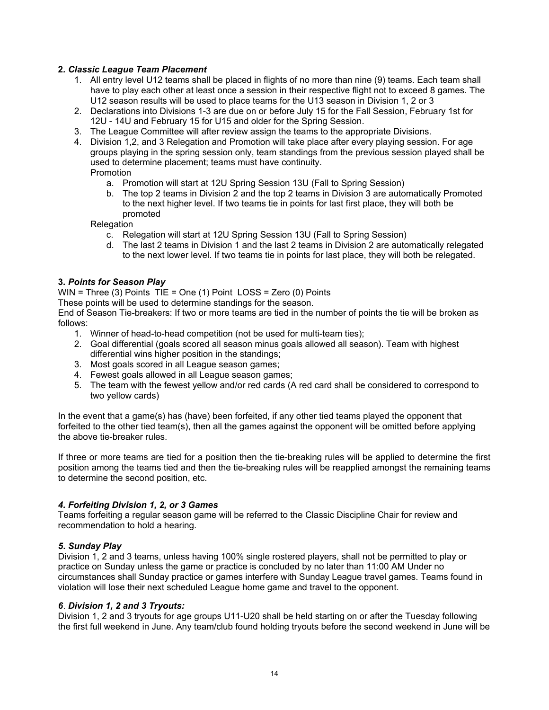## **2***. Classic League Team Placement*

- 1. All entry level U12 teams shall be placed in flights of no more than nine (9) teams. Each team shall have to play each other at least once a session in their respective flight not to exceed 8 games. The U12 season results will be used to place teams for the U13 season in Division 1, 2 or 3
- 2. Declarations into Divisions 1-3 are due on or before July 15 for the Fall Session, February 1st for 12U - 14U and February 15 for U15 and older for the Spring Session.
- 3. The League Committee will after review assign the teams to the appropriate Divisions.
- 4. Division 1,2, and 3 Relegation and Promotion will take place after every playing session. For age groups playing in the spring session only, team standings from the previous session played shall be used to determine placement; teams must have continuity. Promotion
	- a. Promotion will start at 12U Spring Session 13U (Fall to Spring Session)
	- b. The top 2 teams in Division 2 and the top 2 teams in Division 3 are automatically Promoted to the next higher level. If two teams tie in points for last first place, they will both be promoted

**Relegation** 

- c. Relegation will start at 12U Spring Session 13U (Fall to Spring Session)
- d. The last 2 teams in Division 1 and the last 2 teams in Division 2 are automatically relegated to the next lower level. If two teams tie in points for last place, they will both be relegated.

## **3***. Points for Season Play*

WIN = Three (3) Points TIE = One (1) Point LOSS = Zero (0) Points

These points will be used to determine standings for the season.

End of Season Tie-breakers: If two or more teams are tied in the number of points the tie will be broken as follows:

- 1. Winner of head-to-head competition (not be used for multi-team ties);
- 2. Goal differential (goals scored all season minus goals allowed all season). Team with highest differential wins higher position in the standings;
- 3. Most goals scored in all League season games;
- 4. Fewest goals allowed in all League season games;
- 5. The team with the fewest yellow and/or red cards (A red card shall be considered to correspond to two yellow cards)

In the event that a game(s) has (have) been forfeited, if any other tied teams played the opponent that forfeited to the other tied team(s), then all the games against the opponent will be omitted before applying the above tie-breaker rules.

If three or more teams are tied for a position then the tie-breaking rules will be applied to determine the first position among the teams tied and then the tie-breaking rules will be reapplied amongst the remaining teams to determine the second position, etc.

#### *4. Forfeiting Division 1, 2, or 3 Games*

Teams forfeiting a regular season game will be referred to the Classic Discipline Chair for review and recommendation to hold a hearing.

#### *5***.** *Sunday Play*

Division 1, 2 and 3 teams, unless having 100% single rostered players, shall not be permitted to play or practice on Sunday unless the game or practice is concluded by no later than 11:00 AM Under no circumstances shall Sunday practice or games interfere with Sunday League travel games. Teams found in violation will lose their next scheduled League home game and travel to the opponent.

#### *6*. *Division 1, 2 and 3 Tryouts:*

Division 1, 2 and 3 tryouts for age groups U11-U20 shall be held starting on or after the Tuesday following the first full weekend in June. Any team/club found holding tryouts before the second weekend in June will be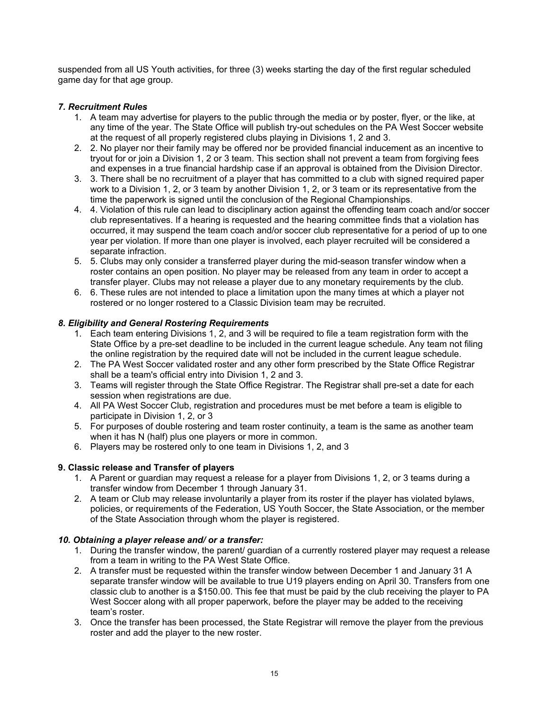suspended from all US Youth activities, for three (3) weeks starting the day of the first regular scheduled game day for that age group.

## *7. Recruitment Rules*

- 1. A team may advertise for players to the public through the media or by poster, flyer, or the like, at any time of the year. The State Office will publish try-out schedules on the PA West Soccer website at the request of all properly registered clubs playing in Divisions 1, 2 and 3.
- 2. 2. No player nor their family may be offered nor be provided financial inducement as an incentive to tryout for or join a Division 1, 2 or 3 team. This section shall not prevent a team from forgiving fees and expenses in a true financial hardship case if an approval is obtained from the Division Director.
- 3. 3. There shall be no recruitment of a player that has committed to a club with signed required paper work to a Division 1, 2, or 3 team by another Division 1, 2, or 3 team or its representative from the time the paperwork is signed until the conclusion of the Regional Championships.
- 4. 4. Violation of this rule can lead to disciplinary action against the offending team coach and/or soccer club representatives. If a hearing is requested and the hearing committee finds that a violation has occurred, it may suspend the team coach and/or soccer club representative for a period of up to one year per violation. If more than one player is involved, each player recruited will be considered a separate infraction.
- 5. 5. Clubs may only consider a transferred player during the mid-season transfer window when a roster contains an open position. No player may be released from any team in order to accept a transfer player. Clubs may not release a player due to any monetary requirements by the club.
- 6. 6. These rules are not intended to place a limitation upon the many times at which a player not rostered or no longer rostered to a Classic Division team may be recruited.

## *8. Eligibility and General Rostering Requirements*

- 1. Each team entering Divisions 1, 2, and 3 will be required to file a team registration form with the State Office by a pre-set deadline to be included in the current league schedule. Any team not filing the online registration by the required date will not be included in the current league schedule.
- 2. The PA West Soccer validated roster and any other form prescribed by the State Office Registrar shall be a team's official entry into Division 1, 2 and 3.
- 3. Teams will register through the State Office Registrar. The Registrar shall pre-set a date for each session when registrations are due.
- 4. All PA West Soccer Club, registration and procedures must be met before a team is eligible to participate in Division 1, 2, or 3
- 5. For purposes of double rostering and team roster continuity, a team is the same as another team when it has N (half) plus one players or more in common.
- 6. Players may be rostered only to one team in Divisions 1, 2, and 3

## **9. Classic release and Transfer of players**

- 1. A Parent or guardian may request a release for a player from Divisions 1, 2, or 3 teams during a transfer window from December 1 through January 31.
- 2. A team or Club may release involuntarily a player from its roster if the player has violated bylaws, policies, or requirements of the Federation, US Youth Soccer, the State Association, or the member of the State Association through whom the player is registered.

#### *10. Obtaining a player release and/ or a transfer:*

- 1. During the transfer window, the parent/ guardian of a currently rostered player may request a release from a team in writing to the PA West State Office.
- 2. A transfer must be requested within the transfer window between December 1 and January 31 A separate transfer window will be available to true U19 players ending on April 30. Transfers from one classic club to another is a \$150.00. This fee that must be paid by the club receiving the player to PA West Soccer along with all proper paperwork, before the player may be added to the receiving team's roster.
- 3. Once the transfer has been processed, the State Registrar will remove the player from the previous roster and add the player to the new roster.